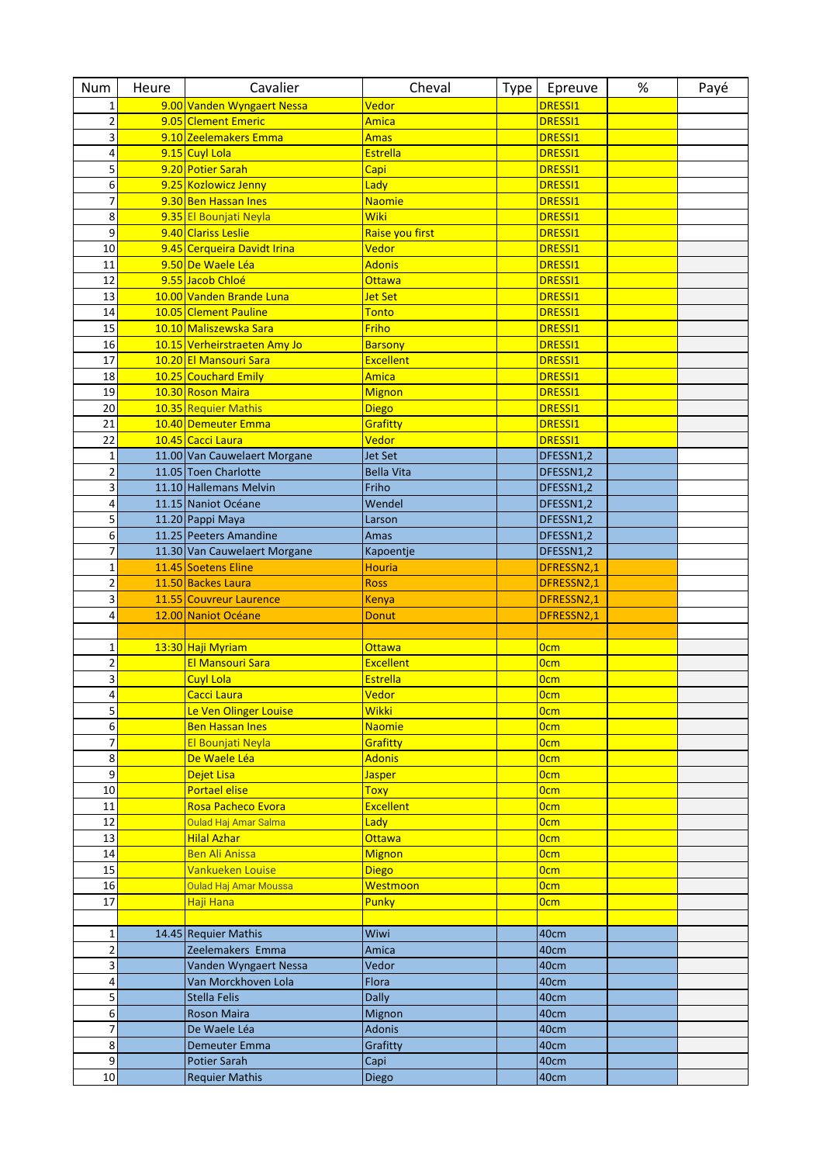| <b>Num</b>               | Heure | Cavalier                     | Cheval            | Type | Epreuve          | % | Payé |
|--------------------------|-------|------------------------------|-------------------|------|------------------|---|------|
| 1                        |       | 9.00 Vanden Wyngaert Nessa   | Vedor             |      | DRESSI1          |   |      |
| $\overline{\mathbf{c}}$  |       | 9.05 Clement Emeric          | <b>Amica</b>      |      | <b>DRESSI1</b>   |   |      |
| 3                        |       | 9.10 Zeelemakers Emma        | <b>Amas</b>       |      | <b>DRESSI1</b>   |   |      |
| 4                        |       | 9.15 Cuyl Lola               | <b>Estrella</b>   |      | <b>DRESSI1</b>   |   |      |
| 5                        |       | 9.20 Potier Sarah            | Capi              |      | DRESSI1          |   |      |
| 6                        |       | 9.25 Kozlowicz Jenny         | Lady              |      | <b>DRESSI1</b>   |   |      |
| $\overline{\mathcal{I}}$ |       | 9.30 Ben Hassan Ines         | <b>Naomie</b>     |      | <b>DRESSI1</b>   |   |      |
| 8                        |       | 9.35 El Bounjati Neyla       | Wiki              |      | DRESSI1          |   |      |
| 9                        |       | 9.40 Clariss Leslie          | Raise you first   |      | DRESSI1          |   |      |
| 10                       |       | 9.45 Cerqueira Davidt Irina  | Vedor             |      | DRESSI1          |   |      |
| 11                       |       | 9.50 De Waele Léa            | <b>Adonis</b>     |      | <b>DRESSI1</b>   |   |      |
| 12                       |       | 9.55 Jacob Chloé             | <b>Ottawa</b>     |      | <b>DRESSI1</b>   |   |      |
| 13                       |       | 10.00 Vanden Brande Luna     | <b>Jet Set</b>    |      | <b>DRESSI1</b>   |   |      |
| 14                       |       | 10.05 Clement Pauline        | <b>Tonto</b>      |      | DRESSI1          |   |      |
| 15                       |       | 10.10 Maliszewska Sara       | Friho             |      | DRESSI1          |   |      |
| 16                       |       | 10.15 Verheirstraeten Amy Jo | <b>Barsony</b>    |      | <b>DRESSI1</b>   |   |      |
| 17                       |       | 10.20 El Mansouri Sara       | <b>Excellent</b>  |      | DRESSI1          |   |      |
| 18                       |       | 10.25 Couchard Emily         | Amica             |      | DRESSI1          |   |      |
| 19                       |       | 10.30 Roson Maira            | <b>Mignon</b>     |      | <b>DRESSI1</b>   |   |      |
| 20                       |       | 10.35 Requier Mathis         | <b>Diego</b>      |      | DRESSI1          |   |      |
| 21                       |       | 10.40 Demeuter Emma          | Grafitty          |      | <b>DRESSI1</b>   |   |      |
| 22                       |       | 10.45 Cacci Laura            | Vedor             |      | <b>DRESSI1</b>   |   |      |
| $\mathbf{1}$             |       | 11.00 Van Cauwelaert Morgane | <b>Jet Set</b>    |      | DFESSN1,2        |   |      |
| $\overline{2}$           |       | 11.05 Toen Charlotte         | <b>Bella Vita</b> |      | DFESSN1,2        |   |      |
| 3                        |       | 11.10 Hallemans Melvin       | Friho             |      | DFESSN1,2        |   |      |
| 4                        |       | 11.15 Naniot Océane          | Wendel            |      | DFESSN1,2        |   |      |
| 5                        |       | 11.20 Pappi Maya             | Larson            |      | DFESSN1,2        |   |      |
| 6                        |       | 11.25 Peeters Amandine       | Amas              |      | DFESSN1,2        |   |      |
| $\overline{7}$           |       | 11.30 Van Cauwelaert Morgane | Kapoentje         |      | DFESSN1,2        |   |      |
| $\mathbf 1$              |       | 11.45 Soetens Eline          | <b>Houria</b>     |      | DFRESSN2,1       |   |      |
| $\overline{\mathbf{c}}$  |       | 11.50 Backes Laura           | <b>Ross</b>       |      | DFRESSN2,1       |   |      |
| 3                        |       | 11.55 Couvreur Laurence      | Kenya             |      | DFRESSN2,1       |   |      |
| 4                        |       | 12.00 Naniot Océane          | <b>Donut</b>      |      | DFRESSN2,1       |   |      |
|                          |       |                              |                   |      |                  |   |      |
| $\mathbf 1$              |       | 13:30 Haji Myriam            | <b>Ottawa</b>     |      | <b>Ocm</b>       |   |      |
| $\mathbf 2$              |       | El Mansouri Sara             | <b>Excellent</b>  |      | <b>Ocm</b>       |   |      |
| 3                        |       | <b>Cuyl Lola</b>             | <b>Estrella</b>   |      | <b>Ocm</b>       |   |      |
| 4                        |       | Cacci Laura                  | Vedor             |      | 0 <sub>cm</sub>  |   |      |
| 5                        |       | Le Ven Olinger Louise        | <b>Wikki</b>      |      | <b>Ocm</b>       |   |      |
| 6                        |       | <b>Ben Hassan Ines</b>       | <b>Naomie</b>     |      | <b>Ocm</b>       |   |      |
| 7                        |       | El Bounjati Neyla            | Grafitty          |      | 0 <sub>cm</sub>  |   |      |
| 8                        |       | De Waele Léa                 | <b>Adonis</b>     |      | <mark>0cm</mark> |   |      |
| 9                        |       | Dejet Lisa                   | <b>Jasper</b>     |      | <b>Ocm</b>       |   |      |
| 10                       |       | Portael elise                | <b>Toxy</b>       |      | 0 <sub>cm</sub>  |   |      |
| 11                       |       | Rosa Pacheco Evora           | <b>Excellent</b>  |      | <b>Ocm</b>       |   |      |
| 12                       |       | Oulad Haj Amar Salma         | Lady              |      | <b>Ocm</b>       |   |      |
| 13                       |       | <b>Hilal Azhar</b>           | Ottawa            |      | 0 <sub>cm</sub>  |   |      |
| 14                       |       | <b>Ben Ali Anissa</b>        | <b>Mignon</b>     |      | 0 <sub>cm</sub>  |   |      |
| 15                       |       | Vankueken Louise             | <b>Diego</b>      |      | <b>Ocm</b>       |   |      |
| 16                       |       | <b>Oulad Haj Amar Moussa</b> | Westmoon          |      | 0 <sub>cm</sub>  |   |      |
| 17                       |       | Haji Hana                    | Punky             |      | 0 <sub>cm</sub>  |   |      |
|                          |       |                              |                   |      |                  |   |      |
| 1                        |       | 14.45 Requier Mathis         | Wiwi              |      | 40cm             |   |      |
| $\overline{2}$           |       | Zeelemakers Emma             | Amica             |      | 40cm             |   |      |
| 3                        |       |                              | Vedor             |      | 40cm             |   |      |
|                          |       | Vanden Wyngaert Nessa        |                   |      |                  |   |      |
| 4                        |       | Van Morckhoven Lola          | Flora             |      | 40cm             |   |      |
| 5                        |       | Stella Felis                 | <b>Dally</b>      |      | 40cm             |   |      |
| 6                        |       | <b>Roson Maira</b>           | Mignon            |      | 40cm             |   |      |
| 7                        |       | De Waele Léa                 | <b>Adonis</b>     |      | 40cm             |   |      |
| 8                        |       | Demeuter Emma                | Grafitty          |      | 40cm             |   |      |
| 9                        |       | Potier Sarah                 | Capi              |      | 40cm             |   |      |
| 10                       |       | <b>Requier Mathis</b>        | Diego             |      | 40cm             |   |      |